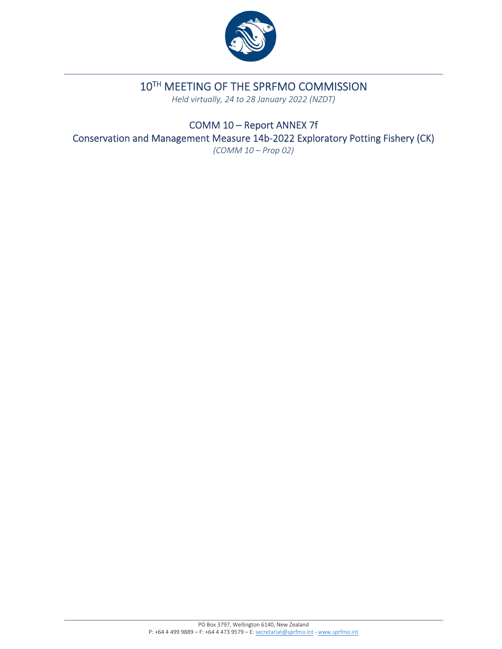

# 10TH MEETING OF THE SPRFMO COMMISSION

*Held virtually, 24 to 28 January 2022 (NZDT)*

COMM 10 – Report ANNEX 7f Conservation and Management Measure 14b‐2022 Exploratory Potting Fishery (CK) *(COMM 10 – Prop 02)*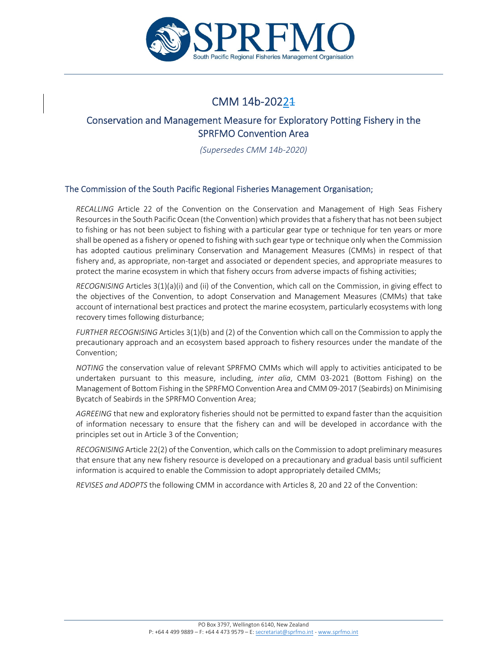

## CMM 14b‐20221

### Conservation and Management Measure for Exploratory Potting Fishery in the SPRFMO Convention Area

*(Supersedes CMM 14b‐2020)*

#### The Commission of the South Pacific Regional Fisheries Management Organisation;

*RECALLING* Article 22 of the Convention on the Conservation and Management of High Seas Fishery Resourcesin the South Pacific Ocean (the Convention) which providesthat a fishery that has not been subject to fishing or has not been subject to fishing with a particular gear type or technique for ten years or more shall be opened as a fishery or opened to fishing with such gear type or technique only when the Commission has adopted cautious preliminary Conservation and Management Measures (CMMs) in respect of that fishery and, as appropriate, non-target and associated or dependent species, and appropriate measures to protect the marine ecosystem in which that fishery occurs from adverse impacts of fishing activities;

*RECOGNISING* Articles 3(1)(a)(i) and (ii) of the Convention, which call on the Commission, in giving effect to the objectives of the Convention, to adopt Conservation and Management Measures (CMMs) that take account of international best practices and protect the marine ecosystem, particularly ecosystems with long recovery times following disturbance;

*FURTHER RECOGNISING* Articles 3(1)(b) and (2) of the Convention which call on the Commission to apply the precautionary approach and an ecosystem based approach to fishery resources under the mandate of the Convention;

*NOTING* the conservation value of relevant SPRFMO CMMs which will apply to activities anticipated to be undertaken pursuant to this measure, including, *inter alia*, CMM 03‐2021 (Bottom Fishing) on the Management of Bottom Fishing in the SPRFMO Convention Area and CMM 09‐2017 (Seabirds) on Minimising Bycatch of Seabirds in the SPRFMO Convention Area;

*AGREEING* that new and exploratory fisheries should not be permitted to expand faster than the acquisition of information necessary to ensure that the fishery can and will be developed in accordance with the principles set out in Article 3 of the Convention;

*RECOGNISING* Article 22(2) of the Convention, which calls on the Commission to adopt preliminary measures that ensure that any new fishery resource is developed on a precautionary and gradual basis until sufficient information is acquired to enable the Commission to adopt appropriately detailed CMMs;

*REVISES and ADOPTS* the following CMM in accordance with Articles 8, 20 and 22 of the Convention: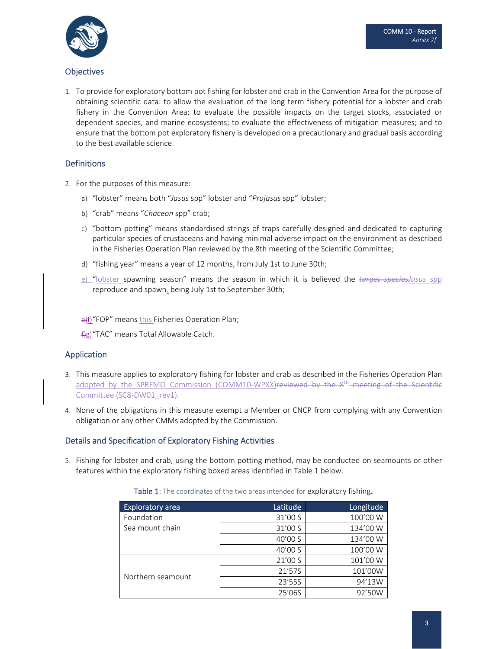

#### **Objectives**

1. To provide for exploratory bottom pot fishing for lobster and crab in the Convention Area for the purpose of obtaining scientific data: to allow the evaluation of the long term fishery potential for a lobster and crab fishery in the Convention Area; to evaluate the possible impacts on the target stocks, associated or dependent species, and marine ecosystems; to evaluate the effectiveness of mitigation measures; and to ensure that the bottom pot exploratory fishery is developed on a precautionary and gradual basis according to the best available science.

#### **Definitions**

- 2. For the purposes of this measure:
	- a) "lobster" means both "*Jasus* spp" lobster and "*Projasus* spp" lobster;
	- b) "crab" means "*Chaceon* spp" crab;
	- c) "bottom potting" means standardised strings of traps carefully designed and dedicated to capturing particular species of crustaceans and having minimal adverse impact on the environment as described in the Fisheries Operation Plan reviewed by the 8th meeting of the Scientific Committee;
	- d) "fishing year" means a year of 12 months, from July 1st to June 30th;
	- e) "lobster spawning season" means the season in which it is believed the *target speciesJasus* spp reproduce and spawn, being July 1st to September 30th;

e)f)"FOP" means this Fisheries Operation Plan;

f)g)"TAC" means Total Allowable Catch.

#### Application

- 3. This measure applies to exploratory fishing for lobster and crab as described in the Fisheries Operation Plan adopted by the SPRFMO Commission (COMM10-WPXX)<del>reviewed by the 8<sup>th</sup> meeting of the Scientific</del> Committee (SC8‐DW01\_rev1).
- 4. None of the obligations in this measure exempt a Member or CNCP from complying with any Convention obligation or any other CMMs adopted by the Commission.

#### Details and Specification of Exploratory Fishing Activities

5. Fishing for lobster and crab, using the bottom potting method, may be conducted on seamounts or other features within the exploratory fishing boxed areas identified in Table 1 below.

| Table 1: The coordinates of the two areas intended for exploratory fishing. |  |  |
|-----------------------------------------------------------------------------|--|--|
|-----------------------------------------------------------------------------|--|--|

| <b>Exploratory area</b> | Latitude | Longitude |
|-------------------------|----------|-----------|
| Foundation              | 31'00 S  | 100'00 W  |
| Sea mount chain         | 31'00 S  | 134'00 W  |
|                         | 40'00 S  | 134'00 W  |
|                         | 40'00 S  | 100'00 W  |
| Northern seamount       | 21'00 S  | 101'00 W  |
|                         | 21'57S   | 101'00W   |
|                         | 23'55S   | 94'13W    |
|                         | 25'06S   | 92'50W    |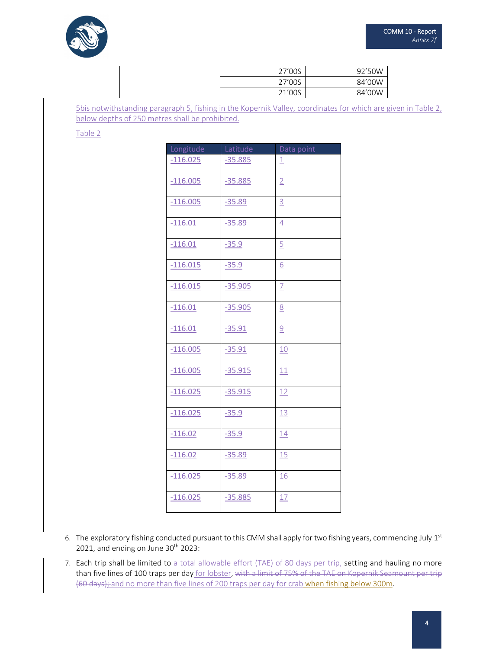

| 27'00S | 92'50W |
|--------|--------|
| 27'00S | 84'00W |
| 21'00S | 84'00W |

5bis notwithstanding paragraph 5, fishing in the Kopernik Valley, coordinates for which are given in Table 2, below depths of 250 metres shall be prohibited.

Table 2

| Longitude  | Latitude  | Data point     |
|------------|-----------|----------------|
| $-116.025$ | $-35.885$ | 1              |
| $-116.005$ | $-35.885$ | $\overline{2}$ |
| $-116.005$ | $-35.89$  | $\overline{3}$ |
| $-116.01$  | $-35.89$  | $\overline{4}$ |
| $-116.01$  | $-35.9$   | $\overline{5}$ |
| $-116.015$ | $-35.9$   | 6              |
| $-116.015$ | $-35.905$ | $\overline{1}$ |
| $-116.01$  | $-35.905$ | 8              |
| $-116.01$  | $-35.91$  | $\overline{9}$ |
| $-116.005$ | $-35.91$  | 10             |
| $-116.005$ | $-35.915$ | 11             |
| $-116.025$ | $-35.915$ | 12             |
| $-116.025$ | $-35.9$   | 13             |
| $-116.02$  | $-35.9$   | 14             |
| $-116.02$  | $-35.89$  | 15             |
| $-116.025$ | $-35.89$  | <b>16</b>      |
| $-116.025$ | $-35.885$ | 17             |

- 6. The exploratory fishing conducted pursuant to this CMM shall apply for two fishing years, commencing July  $1^{st}$ 2021, and ending on June  $30<sup>th</sup>$  2023:
- 7. Each trip shall be limited to a total allowable effort (TAE) of 80 days per trip, setting and hauling no more than five lines of 100 traps per day for lobster, with a limit of 75% of the TAE on Kopernik Seamount per trip (60 days); and no more than five lines of 200 traps per day for crab when fishing below 300m.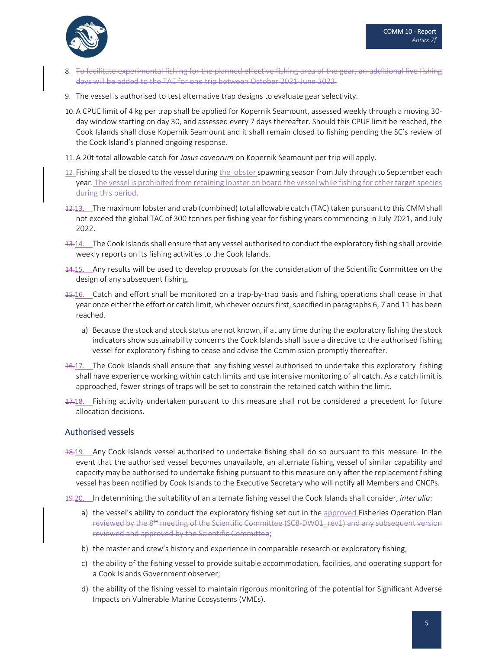

- 8. To facilitate experimental fishing for the planned effective fishing area of the gear, an additional five fishing days will be added to the TAE for one trip between October 2021‐June 2022.
- 9. The vessel is authorised to test alternative trap designs to evaluate gear selectivity.
- 10. A CPUE limit of 4 kg per trap shall be applied for Kopernik Seamount, assessed weekly through a moving 30‐ day window starting on day 30, and assessed every 7 days thereafter. Should this CPUE limit be reached, the Cook Islands shall close Kopernik Seamount and it shall remain closed to fishing pending the SC's review of the Cook Island's planned ongoing response.
- 11. A 20t total allowable catch for *Jasus caveorum* on Kopernik Seamount per trip will apply.
- 12. Fishing shall be closed to the vessel during the lobster spawning season from July through to September each year. The vessel is prohibited from retaining lobster on board the vessel while fishing for other target species during this period.
- 12.13. The maximum lobster and crab (combined) total allowable catch (TAC) taken pursuant to this CMM shall not exceed the global TAC of 300 tonnes per fishing year for fishing years commencing in July 2021, and July 2022.
- 13.14. The Cook Islands shall ensure that any vessel authorised to conduct the exploratory fishing shall provide weekly reports on its fishing activities to the Cook Islands.
- $14.15$ . Any results will be used to develop proposals for the consideration of the Scientific Committee on the design of any subsequent fishing.
- 15.16. Catch and effort shall be monitored on a trap‐by‐trap basis and fishing operations shall cease in that year once either the effort or catch limit, whichever occurs first, specified in paragraphs 6, 7 and 11 has been reached.
	- a) Because the stock and stock status are not known, if at any time during the exploratory fishing the stock indicators show sustainability concerns the Cook Islands shall issue a directive to the authorised fishing vessel for exploratory fishing to cease and advise the Commission promptly thereafter.
- $16.17$ . The Cook Islands shall ensure that any fishing vessel authorised to undertake this exploratory fishing shall have experience working within catch limits and use intensive monitoring of all catch. As a catch limit is approached, fewer strings of traps will be set to constrain the retained catch within the limit.
- 17.18. Fishing activity undertaken pursuant to this measure shall not be considered a precedent for future allocation decisions.

#### Authorised vessels

- 18.19. Any Cook Islands vessel authorised to undertake fishing shall do so pursuant to this measure. In the event that the authorised vessel becomes unavailable, an alternate fishing vessel of similar capability and capacity may be authorised to undertake fishing pursuant to this measure only after the replacement fishing vessel has been notified by Cook Islands to the Executive Secretary who will notify all Members and CNCPs.
- 19.20. In determining the suitability of an alternate fishing vessel the Cook Islands shall consider, *inter alia*:
	- a) the vessel's ability to conduct the exploratory fishing set out in the approved Fisheries Operation Plan reviewed by the 8<sup>th</sup> meeting of the Scientific Committee (SC8–DW01\_rev1) and any subsequent version reviewed and approved by the Scientific Committee;
	- b) the master and crew's history and experience in comparable research or exploratory fishing;
	- c) the ability of the fishing vessel to provide suitable accommodation, facilities, and operating support for a Cook Islands Government observer;
	- d) the ability of the fishing vessel to maintain rigorous monitoring of the potential for Significant Adverse Impacts on Vulnerable Marine Ecosystems (VMEs).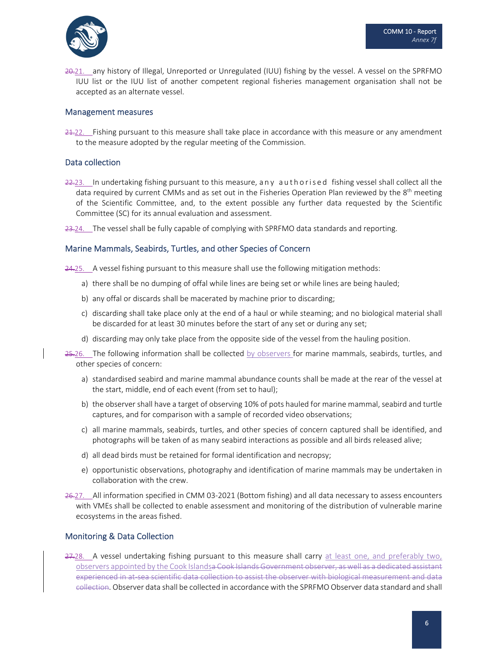

20.21. any history of Illegal, Unreported or Unregulated (IUU) fishing by the vessel. A vessel on the SPRFMO IUU list or the IUU list of another competent regional fisheries management organisation shall not be accepted as an alternate vessel.

#### Management measures

 $24.22$ . Fishing pursuant to this measure shall take place in accordance with this measure or any amendment to the measure adopted by the regular meeting of the Commission.

#### Data collection

 $22.23$ . In undertaking fishing pursuant to this measure, any authorised fishing vessel shall collect all the data required by current CMMs and as set out in the Fisheries Operation Plan reviewed by the 8<sup>th</sup> meeting of the Scientific Committee, and, to the extent possible any further data requested by the Scientific Committee (SC) for its annual evaluation and assessment.

23.24. The vessel shall be fully capable of complying with SPRFMO data standards and reporting.

#### Marine Mammals, Seabirds, Turtles, and other Species of Concern

24.25. A vessel fishing pursuant to this measure shall use the following mitigation methods:

- a) there shall be no dumping of offal while lines are being set or while lines are being hauled;
- b) any offal or discards shall be macerated by machine prior to discarding;
- c) discarding shall take place only at the end of a haul or while steaming; and no biological material shall be discarded for at least 30 minutes before the start of any set or during any set;
- d) discarding may only take place from the opposite side of the vessel from the hauling position.
- 25.26. The following information shall be collected by observers for marine mammals, seabirds, turtles, and other species of concern:
	- a) standardised seabird and marine mammal abundance counts shall be made at the rear of the vessel at the start, middle, end of each event (from set to haul);
	- b) the observer shall have a target of observing 10% of pots hauled for marine mammal, seabird and turtle captures, and for comparison with a sample of recorded video observations;
	- c) all marine mammals, seabirds, turtles, and other species of concern captured shall be identified, and photographs will be taken of as many seabird interactions as possible and all birds released alive;
	- d) all dead birds must be retained for formal identification and necropsy;
	- e) opportunistic observations, photography and identification of marine mammals may be undertaken in collaboration with the crew.
- 26.27. All information specified in CMM 03-2021 (Bottom fishing) and all data necessary to assess encounters with VMEs shall be collected to enable assessment and monitoring of the distribution of vulnerable marine ecosystems in the areas fished.

#### Monitoring & Data Collection

27-28. A vessel undertaking fishing pursuant to this measure shall carry at least one, and preferably two, observers appointed by the Cook Islandsa Cook Islands Government observer, as well as a dedicated assistant experienced in at sea scientific data collection to assist the observer with biological measurement and data collection. Observer data shall be collected in accordance with the SPRFMO Observer data standard and shall